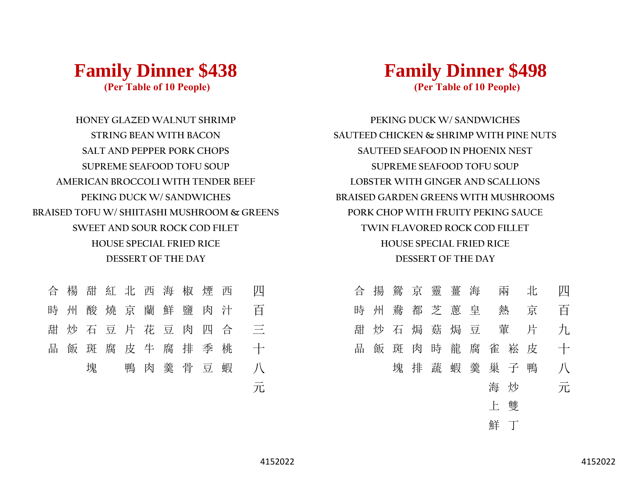

**HONEY GLAZED WALNUT SHRIMP STRING BEAN WITH BACON SALT AND PEPPER PORK CHOPS SUPREME SEAFOOD TOFU SOUP**

**AMERICAN BROCCOLI WITH TENDER BEEF PEKING DUCK W/ SANDWICHES BRAISED TOFU W/ SHIITASHI MUSHROOM & GREENS** **Family Dinner \$498 (Per Table of 10 People)**

**BRAISED GARDEN GREENS WITH MUSHROOMS TWIN FLAVORED ROCK COD FILLET HOUSE SPECIAL FRIED RICE DESSERT OF THE DAY SUPREME SEAFOOD TOFU SOUP SAUTEED SEAFOOD IN PHOENIX NEST PEKING DUCK W/ SANDWICHES SAUTEED CHICKEN & SHRIMP WITH PINE NUTS LOBSTER WITH GINGER AND SCALLIONS PORK CHOP WITH FRUITY PEKING SAUCE**



**SWEET AND SOUR ROCK COD FILET HOUSE SPECIAL FRIED RICE DESSERT OF THE DAY**

- -